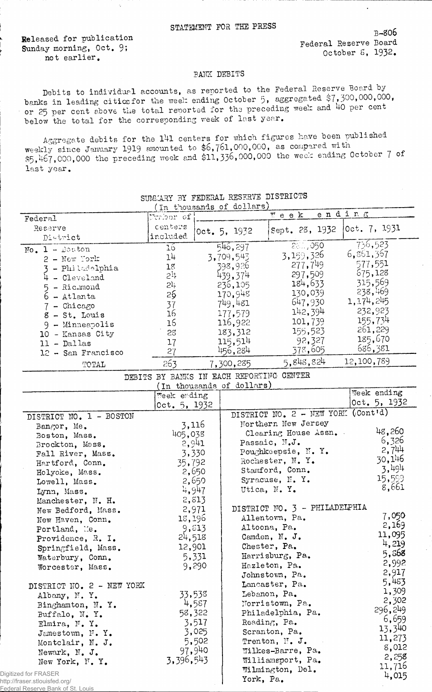## STATEMENT FOR THE PRESS

Released for publication Sunday morning, Oct. 9; not earlier.

 $\tilde{Q}$ 

 $B-806$ Federal Reserve Board October 5, 1932.

## **BANK DEBITS**

Debits to individual accounts, as reported to the Federal Reserve Board by banks in leading citics for the week ending October 5, aggregated \$7,300,000,000, or 25 per cent above the total reported for the preceding week and 40 per cent below the total for the corresponding week of last year.

Aggregate debits for the 141 centers for which figures have been published weekly since January 1919 amounted to  $$6,761,000,000$ , as compared with \$5,467,000,000 the preceding week and \$11,336,000,000 the week ending October 7 of last year.

| Federal                   | Number of       |              |                           | Week                                     | ending       |
|---------------------------|-----------------|--------------|---------------------------|------------------------------------------|--------------|
| Reserve                   | centers         | 0ct. 5, 1932 |                           | Sept. 23, 1932                           | Oct. 7, 1931 |
| District                  | included        |              |                           |                                          |              |
| $No. 1 - Boston$          | 16 <sup>°</sup> |              | 546,297                   | 281,050                                  | 736,523      |
| $2 - New York$            | 14              |              | 3,709,543                 | 3,159,326                                | 6,861,367    |
| 3 - Philadelphia          | 18              |              | 398,926                   | 277,749                                  | 577,551      |
| $4 - C1$ eveland          | 24              |              | 439,374                   | 297,509                                  | 675,128      |
| 5 - Richmond              | 5)†             |              | 236,105                   | 184,633                                  | 315,569      |
| $6 - \text{Atlanta}$      | 26              |              | 170,948                   | 130,039                                  | 238,469      |
| $7$ - Chicago             | 37              |              | 749,481                   | 647,930                                  | 1, 174, 245  |
| 8 - St. Louis             | 16              |              | 177,579                   | 142,394                                  | 232,923      |
| 9 - Minneapolis           | 16              |              | 116,922                   | 101,739                                  | 155,734      |
| 10 - Kansas City          | 23              |              | 183,312                   | 155,523                                  | 261,229      |
| $11 - Dallas$             | 17              |              | 115,514                   | 92,327                                   | 185,670      |
| 12 - San Francisco        | 27              |              | 456,284                   | 378,605                                  | 686,381      |
| TOTAL                     | 263             |              | 7,300,285                 | 5,848,824                                | 12,100,789   |
|                           |                 |              |                           | DEBITS BY BANKS IN EACH REPORTING CENTER |              |
|                           |                 |              | (In thousands of dollars) |                                          |              |
|                           | Week ending     |              |                           |                                          | Week ending  |
|                           | 0ct. 5, 1932    |              |                           |                                          | 0ct. 5, 1932 |
| DISTRICT NO. 1 - BOSTON   |                 |              |                           | DISTRICT NO. 2 - NEW YORK (Cont'd)       |              |
| Bangor, Me.               |                 | 3,116        |                           | Northern New Jersey                      |              |
| Boston, Mass.             | 405,038         |              | Clearing House Assn. .    | 48,260                                   |              |
| Brockton, Mass.           |                 | 2,941        |                           | Passaic, N.J.                            | 6,326        |
| Fall River, Mass.         |                 | 3,330        |                           | Poughkeepsie, N.Y.                       | 2,744        |
| Hartford, Conn.           |                 | 35,792       |                           | Rochester, N.Y.                          | 30,146       |
| Holyoke, Mass.            |                 | 2,650        |                           | Stamford, Conn.                          | 3,494        |
| Lowell, Mass.             |                 | 2,650        | Syracuse, N.Y.            |                                          | 15,599       |
| Lynn, Mass.               |                 | 4,947        | Utica, N.Y.               |                                          | 8,661        |
| Manchester, N. H.         |                 | 2,813        |                           |                                          |              |
| New Bedford, Mass.        |                 | 2,971        |                           | DISTRICT NO. 3 - PHILADEIPHIA            |              |
| New Haven, Conn.          | 18,196          |              | Allentown, Pa.            |                                          | 7,050        |
| Portland, Me.             |                 | 9,513        | Altoona, Pa.              |                                          | 2,169        |
| Providence, R. I.         | 24,518          |              | Camden, N. J.             |                                          | 11,095       |
| Springfield, Mass.        | 12,901          |              |                           | Chester, Pa.                             | 4,219        |
| Waterbury, Conn.          |                 | 5,331        | Harrisburg, Pa.           |                                          | 5,868        |
| Worcester, Mass.          |                 | 9,290        |                           | Hazleton, Pa.                            | 2,992        |
|                           |                 |              |                           | Johnstown, Pa.                           | 2,917        |
| DISTRICT NO. 2 - NEW YORK |                 |              |                           | Lancaster, Pa.                           | 5,483        |
| Albany, N.Y.              |                 | 33,538       |                           | Lebanon, Pa.                             | 1,309        |
| Binghamton, N.Y.          | 4,587           |              | Norristown, Pa.           |                                          | 2,302        |
| Buffalo, N.Y.             | 58,322          |              | Philadelphia, Pa.         |                                          | 296,249      |
| Elmira, N.Y.              |                 | 3,517        |                           | Reading, Pa.                             | 6,659        |
| Jamestown, N.Y.           |                 | 3,025        |                           | Scranton, Pa.                            | 13,340       |
| Montclair, N. J.          |                 | 5,502        |                           | Trenton, N. J.                           | 11,273       |
| Newark, N. J.             |                 | 97,940       |                           | Wilkes-Barre, Pa.                        | 8,012        |
| New York, N.Y.            | 3,396,543       |              |                           | Williamsport, Pa.                        | 2,258        |
|                           |                 |              |                           | Wilmington, Del.                         | 11,716       |
| Digitized for FRASER      |                 |              |                           |                                          | 4,015        |

SUMMARY BY FEDERAL RESERVE DISTRICTS  $2.577$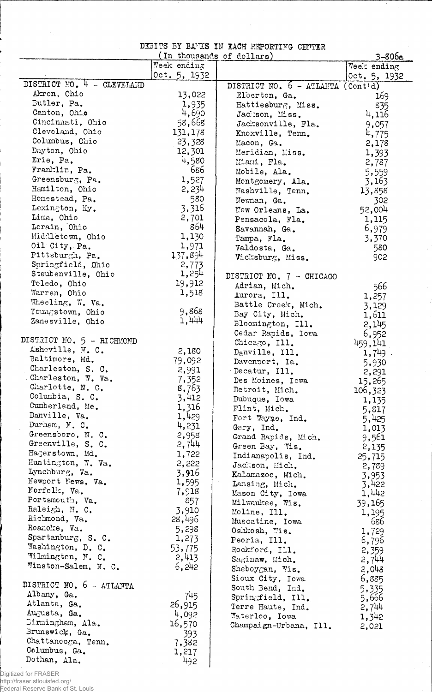## DEBITS BY BAWKS IF EACH REPORTING- CENTER

|                                  |                | In thousands of dollars)          | $3 - 806a$   |
|----------------------------------|----------------|-----------------------------------|--------------|
|                                  | Week ending    |                                   | Week ending  |
|                                  | Oct. 5, 1932   |                                   | 0ct. 5, 1932 |
| DISTRICT NO. 4 - CLEVELAND       |                | DISTRICT NO. 6 - ATLANTA (Cont'd) |              |
| Akron, Ohio                      | 13,022         | Elberton, Ga.                     | 169          |
| Butler, Pa.                      | 1,935          | Hattiesburg, Miss.                | 835          |
| Canton, Ohio                     | 4,690          | Jackson, Miss.                    | 4,116        |
| Cincinnati, Ohio                 | 58,668         | Jacksonville, Fla.                | 9,057        |
| Cleveland, Ohio                  | 131,178        | Knoxville, Tenn.                  | 4,775        |
| Columbus, Ohio                   | 23,328         | Macon, Ga.                        | 2,178        |
| Dayton, Ohio                     | 12,301         | Meridian, Miss.                   | 1,393        |
| Erie, Pa.                        | 4,580          | Miami, Fla.                       | 2,787        |
| Franklin, Pa.                    | 686            | Mobile, Ala.                      | 5,559        |
| Greensburg, Pa.                  | 1,527          | Montgomery, Ala.                  | 3,163        |
| Hamilton, Ohio                   | 2,234          | Mashville, Tenn.                  | 13,858       |
| Homestead, Pa.                   | 580            | Newman, Ga.                       | 302          |
| Lexington, Ky.                   | 3,316          | New Orleans, La.                  | 52,004       |
| Lima, Ohio                       | 2,701          | Pensacola, Fla.                   | 1,115        |
| Lerain, Ohio                     | 864            | Savannah, Ga.                     | 6,979        |
| Middletown, Ohio                 | 1,130          | Tampa, Fla.                       | 3,370        |
| Oil City, Pa.                    | 1,971          | Valdosta, Ga.                     | 580          |
| Pittsburgh, Pa.                  | 137,894        | Vicksburg, Miss.                  | 902          |
| Springfield, Ohio                | 2,773          |                                   |              |
| Steubenville, Ohio               | 1,254          | DISTRICT NO. 7 - CHICAGO          |              |
| Toledo, Ohio                     | 19,912         | Adrian, Mich.                     | 566          |
| Warren, Ohio                     | 1,518          | Aurora, Ill.                      | 1,257        |
| Wheeling, $W.$ Va.               |                | Battle Creek, Mich.               | 3,129        |
| Youngstown, Ohio                 | 9,868          | Bay City, Mich.                   | 1,611        |
| Zanesville, Ohio                 | 1,444          | Bloomington, Ill.                 | 2,145        |
|                                  |                | Cedar Rapids, Iowa                | 6,952        |
| DISTRICT NO. 5 - RICHMOND        |                | Chicago, $111.$                   | 459,141      |
| Asheville, N. C.                 | 2,180          | Danville, Ill.                    | $1,749$ .    |
| Baltimore, Md.                   | 79,092         | Davenport, Ia.                    | 5,930        |
| Charleston, S. C.                | 2,991          | Decatur, Ill.                     | 2,291        |
| Charleston, W. Va.               | 7,352          | Des Moines, Iowa                  | 15,265       |
| Charlotte, N. C.                 | 8,763          | Detroit, Mich.                    | 106,323      |
| Columbia, S. C.                  | 3,412          | Dubuque, Iowa                     | 1,135        |
| Cumberland, Me.<br>Danville, Va. | 1,316          | Flint, Mich.                      | 5,817        |
| Durham, N. C.                    | 1,429          | Fort Wayne, Ind.                  | 5,425        |
| Greensboro, N. C.                | 4,231          | Gary, Ind.                        | 1,013        |
| Greenville, S. C.                | 2,958          | Grand Rapids, Mich.               | 9,561        |
| Hagerstown, Md.                  | 2,744          | Green Bay, Vis.                   | 2,135        |
| Huntington, W. Va.               | 1,722<br>2,222 | Indianapolis, Ind.                | 25,715       |
| Lynchburg, Va.                   | 3,916          | Jackson, Mich.                    | 2,789        |
| Newport News, Va.                | 1,595          | Kalamazoo, Mich.                  | 3,953        |
| Norfolk, Va.                     | 7,918          | Lansing, Mich.                    | 3,422        |
| Portsmouth, Va.                  | 857            | Mason City, Iowa                  | 1,442        |
| Raleigh, N. C.                   | 3,910          | Milwaukee, Wis.<br>Moline, Ill.   | 39,165       |
| Richmond, Va.                    | 28,496         | Muscatine, Iowa                   | 1,195<br>686 |
| Roanoke, Va.                     | 5,298          | Oshkosh, Wis.                     | 1,729        |
| Spartanburg, S. C.               | 1,273          | Peoria, Ill.                      | 6,796        |
| Washington, D. C.                | 53,775         | Rockford, Ill.                    | 2,359        |
| Wilmington, N. C.                | 2,413          | Saginaw, Mich.                    | 2,744        |
| Winston-Salem, N. C.             | 6,242          | Sheboygan, Wis.                   | 2,048        |
|                                  |                | Sioux City, Iowa                  | 6,885        |
| DISTRICT NO. 6 - ATLANTA         |                | South Bend, Ind.                  | 5,335        |
| Albany, Ga.                      | 745            | Springfield, Ill.                 | 5,666        |
| Atlanta, Ga.                     | 26,915         | Terre Haute, Ind.                 | 2,744        |
| Augusta, Ga.                     | 4,092          | Waterloo, Iowa                    | 1,342        |
| Dirmingham, Ala.                 | 16,570         | Champaign-Urbana, Ill.            | 2,021        |
| Brunswick, Ga.                   | 393            |                                   |              |
| Chattancoga, Tenn.               | 7,382          |                                   |              |
| Columbus, Ga.                    | 1,217          |                                   |              |
| Dothan, Ala.                     | 492            |                                   |              |

 $\hat{\boldsymbol{\beta}}$ 

Digitized for FRASER http://fraser.stlouisfed.org/ Federal Reserve Bank of St. Louis

 $\sim$  .